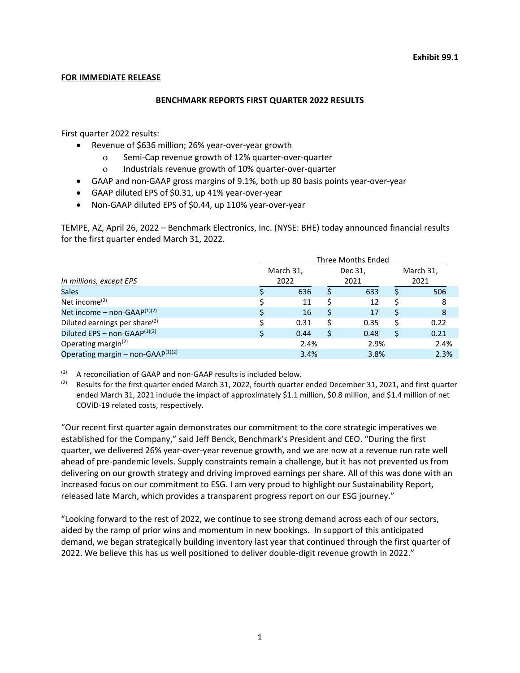### **FOR IMMEDIATE RELEASE**

### **BENCHMARK REPORTS FIRST QUARTER 2022 RESULTS**

First quarter 2022 results:

- Revenue of \$636 million; 26% year-over-year growth
	- ο Semi-Cap revenue growth of 12% quarter-over-quarter
	- ο Industrials revenue growth of 10% quarter-over-quarter
- GAAP and non-GAAP gross margins of 9.1%, both up 80 basis points year-over-year
- GAAP diluted EPS of \$0.31, up 41% year-over-year
- Non-GAAP diluted EPS of \$0.44, up 110% year-over-year

TEMPE, AZ, April 26, 2022 – Benchmark Electronics, Inc. (NYSE: BHE) today announced financial results for the first quarter ended March 31, 2022.

|                                           | Three Months Ended |           |         |      |           |      |  |  |  |  |  |
|-------------------------------------------|--------------------|-----------|---------|------|-----------|------|--|--|--|--|--|
|                                           |                    | March 31, | Dec 31, |      | March 31, |      |  |  |  |  |  |
| In millions, except EPS                   |                    | 2022      |         | 2021 |           | 2021 |  |  |  |  |  |
| <b>Sales</b>                              |                    | 636       | Ś       | 633  |           | 506  |  |  |  |  |  |
| Net income $(2)$                          |                    | 11        |         | 12   |           | 8    |  |  |  |  |  |
| Net income – non-GAAP $(1)(2)$            |                    | 16        | S       | 17   |           | 8    |  |  |  |  |  |
| Diluted earnings per share <sup>(2)</sup> |                    | 0.31      |         | 0.35 |           | 0.22 |  |  |  |  |  |
| Diluted EPS - non-GAAP <sup>(1)(2)</sup>  |                    | 0.44      |         | 0.48 |           | 0.21 |  |  |  |  |  |
| Operating margin <sup>(2)</sup>           |                    | 2.4%      |         | 2.9% |           | 2.4% |  |  |  |  |  |
| Operating margin – non-GAAP $(1)(2)$      |                    | 3.4%      |         | 3.8% |           | 2.3% |  |  |  |  |  |

(1) A reconciliation of GAAP and non-GAAP results is included below.

<sup>(2)</sup> Results for the first quarter ended March 31, 2022, fourth quarter ended December 31, 2021, and first quarter ended March 31, 2021 include the impact of approximately \$1.1 million, \$0.8 million, and \$1.4 million of net COVID-19 related costs, respectively.

"Our recent first quarter again demonstrates our commitment to the core strategic imperatives we established for the Company," said Jeff Benck, Benchmark's President and CEO. "During the first quarter, we delivered 26% year-over-year revenue growth, and we are now at a revenue run rate well ahead of pre-pandemic levels. Supply constraints remain a challenge, but it has not prevented us from delivering on our growth strategy and driving improved earnings per share. All of this was done with an increased focus on our commitment to ESG. I am very proud to highlight our Sustainability Report, released late March, which provides a transparent progress report on our ESG journey."

"Looking forward to the rest of 2022, we continue to see strong demand across each of our sectors, aided by the ramp of prior wins and momentum in new bookings. In support of this anticipated demand, we began strategically building inventory last year that continued through the first quarter of 2022. We believe this has us well positioned to deliver double-digit revenue growth in 2022."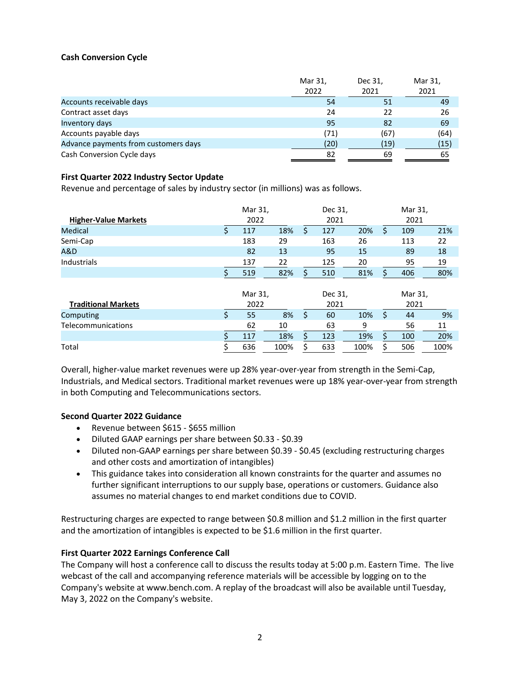## **Cash Conversion Cycle**

|                                      | Mar 31, | Dec 31, | Mar 31, |
|--------------------------------------|---------|---------|---------|
|                                      | 2022    | 2021    | 2021    |
| Accounts receivable days             | 54      | 51      | 49      |
| Contract asset days                  | 24      | 22      | 26      |
| Inventory days                       | 95      | 82      | 69      |
| Accounts payable days                | (71)    | (67)    | (64)    |
| Advance payments from customers days | (20)    | (19)    | (15)    |
| Cash Conversion Cycle days           | 82      | 69      | 65      |

### **First Quarter 2022 Industry Sector Update**

Revenue and percentage of sales by industry sector (in millions) was as follows.

| <b>Higher-Value Markets</b> | Mar 31,<br>2022 |      |    | Dec 31,<br>2021 |      |    | Mar 31,<br>2021 |      |
|-----------------------------|-----------------|------|----|-----------------|------|----|-----------------|------|
| Medical                     | \$<br>117       | 18%  | \$ | 127             | 20%  | \$ | 109             | 21%  |
| Semi-Cap                    | 183             | 29   |    | 163             | 26   |    | 113             | 22   |
| A&D                         | 82              | 13   |    | 95              | 15   |    | 89              | 18   |
| Industrials                 | 137             | 22   |    | 125             | 20   |    | 95              | 19   |
|                             | 519             | 82%  | Š. | 510             | 81%  |    | 406             | 80%  |
|                             | Mar 31,         |      |    | Dec 31,         |      |    | Mar 31,         |      |
| <b>Traditional Markets</b>  | 2022            |      |    | 2021            |      |    | 2021            |      |
| Computing                   | \$<br>55        | 8%   | \$ | 60              | 10%  | \$ | 44              | 9%   |
| Telecommunications          | 62              | 10   |    | 63              | 9    |    | 56              | 11   |
|                             | 117             | 18%  | Ś. | 123             | 19%  | Ś. | 100             | 20%  |
| Total                       | 636             | 100% | Ś  | 633             | 100% |    | 506             | 100% |

Overall, higher-value market revenues were up 28% year-over-year from strength in the Semi-Cap, Industrials, and Medical sectors. Traditional market revenues were up 18% year-over-year from strength in both Computing and Telecommunications sectors.

### **Second Quarter 2022 Guidance**

- Revenue between \$615 \$655 million
- Diluted GAAP earnings per share between \$0.33 \$0.39
- Diluted non-GAAP earnings per share between \$0.39 \$0.45 (excluding restructuring charges and other costs and amortization of intangibles)
- This guidance takes into consideration all known constraints for the quarter and assumes no further significant interruptions to our supply base, operations or customers. Guidance also assumes no material changes to end market conditions due to COVID.

Restructuring charges are expected to range between \$0.8 million and \$1.2 million in the first quarter and the amortization of intangibles is expected to be \$1.6 million in the first quarter.

### **First Quarter 2022 Earnings Conference Call**

The Company will host a conference call to discuss the results today at 5:00 p.m. Eastern Time. The live webcast of the call and accompanying reference materials will be accessible by logging on to the Company's website at www.bench.com. A replay of the broadcast will also be available until Tuesday, May 3, 2022 on the Company's website.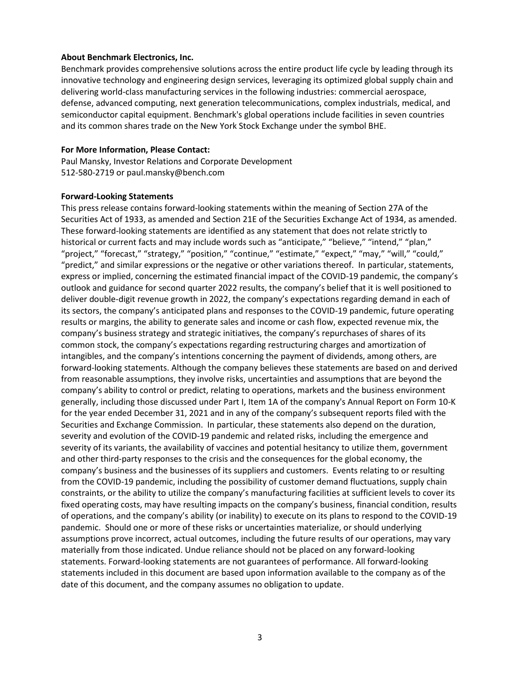#### **About Benchmark Electronics, Inc.**

Benchmark provides comprehensive solutions across the entire product life cycle by leading through its innovative technology and engineering design services, leveraging its optimized global supply chain and delivering world-class manufacturing services in the following industries: commercial aerospace, defense, advanced computing, next generation telecommunications, complex industrials, medical, and semiconductor capital equipment. Benchmark's global operations include facilities in seven countries and its common shares trade on the New York Stock Exchange under the symbol BHE.

#### **For More Information, Please Contact:**

Paul Mansky, Investor Relations and Corporate Development 512-580-2719 or paul.mansky@bench.com

#### **Forward-Looking Statements**

This press release contains forward-looking statements within the meaning of Section 27A of the Securities Act of 1933, as amended and Section 21E of the Securities Exchange Act of 1934, as amended. These forward-looking statements are identified as any statement that does not relate strictly to historical or current facts and may include words such as "anticipate," "believe," "intend," "plan," "project," "forecast," "strategy," "position," "continue," "estimate," "expect," "may," "will," "could," "predict," and similar expressions or the negative or other variations thereof. In particular, statements, express or implied, concerning the estimated financial impact of the COVID-19 pandemic, the company's outlook and guidance for second quarter 2022 results, the company's belief that it is well positioned to deliver double-digit revenue growth in 2022, the company's expectations regarding demand in each of its sectors, the company's anticipated plans and responses to the COVID-19 pandemic, future operating results or margins, the ability to generate sales and income or cash flow, expected revenue mix, the company's business strategy and strategic initiatives, the company's repurchases of shares of its common stock, the company's expectations regarding restructuring charges and amortization of intangibles, and the company's intentions concerning the payment of dividends, among others, are forward-looking statements. Although the company believes these statements are based on and derived from reasonable assumptions, they involve risks, uncertainties and assumptions that are beyond the company's ability to control or predict, relating to operations, markets and the business environment generally, including those discussed under Part I, Item 1A of the company's Annual Report on Form 10-K for the year ended December 31, 2021 and in any of the company's subsequent reports filed with the Securities and Exchange Commission. In particular, these statements also depend on the duration, severity and evolution of the COVID-19 pandemic and related risks, including the emergence and severity of its variants, the availability of vaccines and potential hesitancy to utilize them, government and other third-party responses to the crisis and the consequences for the global economy, the company's business and the businesses of its suppliers and customers. Events relating to or resulting from the COVID-19 pandemic, including the possibility of customer demand fluctuations, supply chain constraints, or the ability to utilize the company's manufacturing facilities at sufficient levels to cover its fixed operating costs, may have resulting impacts on the company's business, financial condition, results of operations, and the company's ability (or inability) to execute on its plans to respond to the COVID-19 pandemic. Should one or more of these risks or uncertainties materialize, or should underlying assumptions prove incorrect, actual outcomes, including the future results of our operations, may vary materially from those indicated. Undue reliance should not be placed on any forward-looking statements. Forward-looking statements are not guarantees of performance. All forward-looking statements included in this document are based upon information available to the company as of the date of this document, and the company assumes no obligation to update.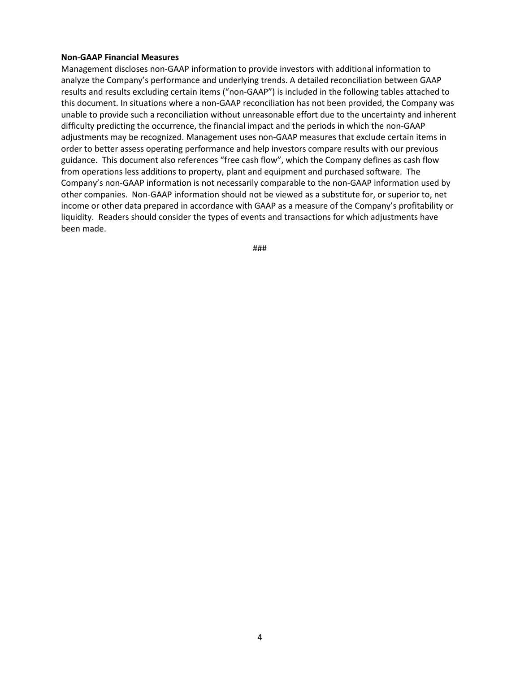#### **Non-GAAP Financial Measures**

Management discloses non-GAAP information to provide investors with additional information to analyze the Company's performance and underlying trends. A detailed reconciliation between GAAP results and results excluding certain items ("non-GAAP") is included in the following tables attached to this document. In situations where a non-GAAP reconciliation has not been provided, the Company was unable to provide such a reconciliation without unreasonable effort due to the uncertainty and inherent difficulty predicting the occurrence, the financial impact and the periods in which the non-GAAP adjustments may be recognized. Management uses non-GAAP measures that exclude certain items in order to better assess operating performance and help investors compare results with our previous guidance. This document also references "free cash flow", which the Company defines as cash flow from operations less additions to property, plant and equipment and purchased software. The Company's non-GAAP information is not necessarily comparable to the non-GAAP information used by other companies. Non-GAAP information should not be viewed as a substitute for, or superior to, net income or other data prepared in accordance with GAAP as a measure of the Company's profitability or liquidity. Readers should consider the types of events and transactions for which adjustments have been made.

###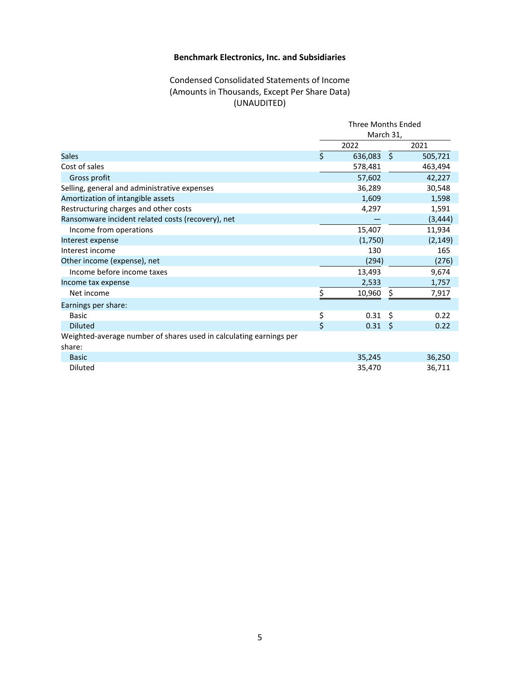## Condensed Consolidated Statements of Income (Amounts in Thousands, Except Per Share Data) (UNAUDITED)

|                                                                    | <b>Three Months Ended</b> |                       |    |          |  |
|--------------------------------------------------------------------|---------------------------|-----------------------|----|----------|--|
|                                                                    | March 31,                 |                       |    |          |  |
|                                                                    |                           | 2022                  |    | 2021     |  |
| <b>Sales</b>                                                       | $\mathsf{\hat{S}}$        | 636,083 \$            |    | 505,721  |  |
| Cost of sales                                                      |                           | 578,481               |    | 463,494  |  |
| Gross profit                                                       |                           | 57,602                |    | 42,227   |  |
| Selling, general and administrative expenses                       |                           | 36,289                |    | 30,548   |  |
| Amortization of intangible assets                                  |                           | 1,609                 |    | 1,598    |  |
| Restructuring charges and other costs                              |                           | 4,297                 |    | 1,591    |  |
| Ransomware incident related costs (recovery), net                  |                           |                       |    | (3, 444) |  |
| Income from operations                                             |                           | 15,407                |    | 11,934   |  |
| Interest expense                                                   |                           | (1,750)               |    | (2, 149) |  |
| Interest income                                                    |                           | 130                   |    | 165      |  |
| Other income (expense), net                                        |                           | (294)                 |    | (276)    |  |
| Income before income taxes                                         |                           | 13,493                |    | 9,674    |  |
| Income tax expense                                                 |                           | 2,533                 |    | 1,757    |  |
| Net income                                                         | Ś.                        | 10,960                | \$ | 7,917    |  |
| Earnings per share:                                                |                           |                       |    |          |  |
| <b>Basic</b>                                                       | \$                        | 0.31                  | Ŝ. | 0.22     |  |
| <b>Diluted</b>                                                     | \$                        | $0.31 \; \; \text{S}$ |    | 0.22     |  |
| Weighted-average number of shares used in calculating earnings per |                           |                       |    |          |  |
| share:                                                             |                           |                       |    |          |  |
| <b>Basic</b>                                                       |                           | 35,245                |    | 36,250   |  |
| Diluted                                                            |                           | 35,470                |    | 36,711   |  |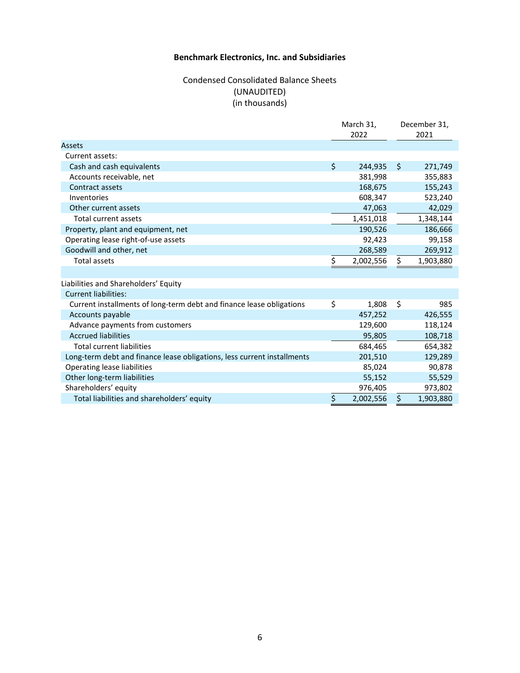## Condensed Consolidated Balance Sheets (UNAUDITED) (in thousands)

|                                                                         |    | March 31,<br>2022 |    | December 31,<br>2021 |
|-------------------------------------------------------------------------|----|-------------------|----|----------------------|
| <b>Assets</b>                                                           |    |                   |    |                      |
| Current assets:                                                         |    |                   |    |                      |
| Cash and cash equivalents                                               | \$ | 244,935           | Ŝ. | 271,749              |
| Accounts receivable, net                                                |    | 381,998           |    | 355,883              |
| Contract assets                                                         |    | 168,675           |    | 155,243              |
| Inventories                                                             |    | 608,347           |    | 523,240              |
| Other current assets                                                    |    | 47,063            |    | 42,029               |
| Total current assets                                                    |    | 1,451,018         |    | 1,348,144            |
| Property, plant and equipment, net                                      |    | 190,526           |    | 186,666              |
| Operating lease right-of-use assets                                     |    | 92,423            |    | 99,158               |
| Goodwill and other, net                                                 |    | 268,589           |    | 269,912              |
| <b>Total assets</b>                                                     | Ś  | 2,002,556         | \$ | 1,903,880            |
|                                                                         |    |                   |    |                      |
| Liabilities and Shareholders' Equity                                    |    |                   |    |                      |
| <b>Current liabilities:</b>                                             |    |                   |    |                      |
| Current installments of long-term debt and finance lease obligations    | \$ | 1.808             | \$ | 985                  |
| Accounts payable                                                        |    | 457,252           |    | 426,555              |
| Advance payments from customers                                         |    | 129,600           |    | 118,124              |
| <b>Accrued liabilities</b>                                              |    | 95,805            |    | 108,718              |
| <b>Total current liabilities</b>                                        |    | 684,465           |    | 654,382              |
| Long-term debt and finance lease obligations, less current installments |    | 201,510           |    | 129,289              |
| Operating lease liabilities                                             |    | 85,024            |    | 90,878               |
| Other long-term liabilities                                             |    | 55,152            |    | 55,529               |
| Shareholders' equity                                                    |    | 976,405           |    | 973,802              |
| Total liabilities and shareholders' equity                              | \$ | 2,002,556         | \$ | 1,903,880            |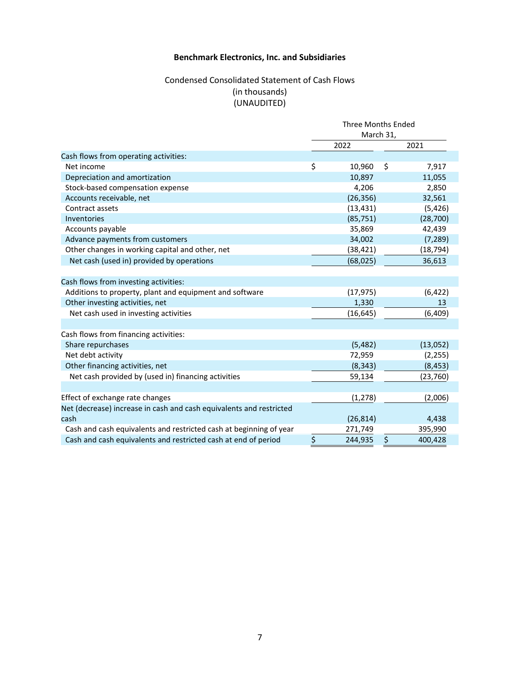## Condensed Consolidated Statement of Cash Flows (in thousands) (UNAUDITED)

|                                                                     | <b>Three Months Ended</b><br>March 31, |           |      |           |  |
|---------------------------------------------------------------------|----------------------------------------|-----------|------|-----------|--|
|                                                                     |                                        |           |      |           |  |
|                                                                     |                                        | 2022      | 2021 |           |  |
| Cash flows from operating activities:                               |                                        |           |      |           |  |
| Net income                                                          | \$                                     | 10,960    | \$   | 7,917     |  |
| Depreciation and amortization                                       |                                        | 10,897    |      | 11,055    |  |
| Stock-based compensation expense                                    |                                        | 4,206     |      | 2,850     |  |
| Accounts receivable, net                                            |                                        | (26, 356) |      | 32,561    |  |
| Contract assets                                                     |                                        | (13, 431) |      | (5, 426)  |  |
| Inventories                                                         |                                        | (85, 751) |      | (28, 700) |  |
| Accounts payable                                                    |                                        | 35,869    |      | 42,439    |  |
| Advance payments from customers                                     |                                        | 34,002    |      | (7, 289)  |  |
| Other changes in working capital and other, net                     |                                        | (38, 421) |      | (18, 794) |  |
| Net cash (used in) provided by operations                           |                                        | (68, 025) |      | 36,613    |  |
| Cash flows from investing activities:                               |                                        |           |      |           |  |
| Additions to property, plant and equipment and software             |                                        | (17, 975) |      | (6, 422)  |  |
| Other investing activities, net                                     |                                        | 1,330     |      | 13        |  |
| Net cash used in investing activities                               |                                        | (16, 645) |      | (6, 409)  |  |
|                                                                     |                                        |           |      |           |  |
| Cash flows from financing activities:                               |                                        |           |      |           |  |
| Share repurchases                                                   |                                        | (5,482)   |      | (13,052)  |  |
| Net debt activity                                                   |                                        | 72,959    |      | (2, 255)  |  |
| Other financing activities, net                                     |                                        | (8, 343)  |      | (8, 453)  |  |
| Net cash provided by (used in) financing activities                 |                                        | 59,134    |      | (23, 760) |  |
|                                                                     |                                        |           |      |           |  |
| Effect of exchange rate changes                                     |                                        | (1, 278)  |      | (2,006)   |  |
| Net (decrease) increase in cash and cash equivalents and restricted |                                        |           |      |           |  |
| cash                                                                |                                        | (26, 814) |      | 4,438     |  |
| Cash and cash equivalents and restricted cash at beginning of year  |                                        | 271,749   |      | 395,990   |  |
| Cash and cash equivalents and restricted cash at end of period      | \$                                     | 244,935   | \$   | 400,428   |  |